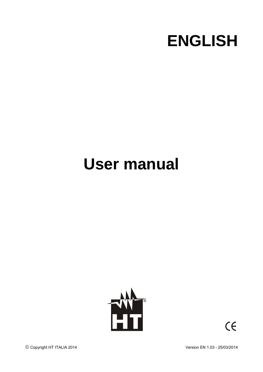

# **User manual**



 $C \in$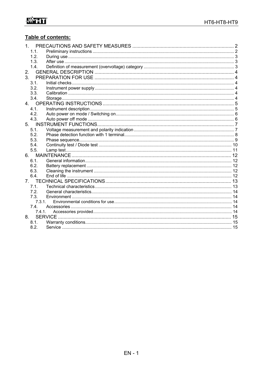## Table of contents:

| $\mathbf 1$    |        |  |
|----------------|--------|--|
|                | 1.1.   |  |
|                | 1.2.   |  |
|                | 1.3.   |  |
|                | 1.4.   |  |
| 2.             |        |  |
| 3 <sub>l</sub> |        |  |
|                | 3.1.   |  |
|                | 3.2.   |  |
|                | 3.3.   |  |
|                | 3.4.   |  |
| $\overline{4}$ |        |  |
|                | 4.1.   |  |
|                | 4.2.   |  |
|                | 4.3.   |  |
| 5.             |        |  |
|                | 5.1.   |  |
|                | 5.2.   |  |
|                | 5.3.   |  |
|                | 5.4.   |  |
|                | 5.5.   |  |
| 6.             |        |  |
|                | 6.1.   |  |
|                | 6.2.   |  |
|                | 6.3.   |  |
|                | 6.4.   |  |
| 7 <sup>1</sup> |        |  |
|                | 7.1.   |  |
|                | 7.2.   |  |
|                | 7.3.   |  |
|                | 7.3.1. |  |
|                | 7.4.   |  |
|                | 7.4.1. |  |
| 8.             |        |  |
|                | 8.1.   |  |
|                | 8.2.   |  |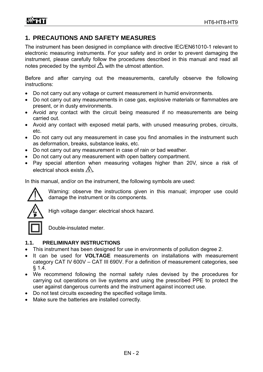## **1. PRECAUTIONS AND SAFETY MEASURES**

The instrument has been designed in compliance with directive IEC/EN61010-1 relevant to electronic measuring instruments. For your safety and in order to prevent damaging the instrument, please carefully follow the procedures described in this manual and read all notes preceded by the symbol  $\triangle$  with the utmost attention.

Before and after carrying out the measurements, carefully observe the following instructions:

- Do not carry out any voltage or current measurement in humid environments.
- Do not carry out any measurements in case gas, explosive materials or flammables are present, or in dusty environments.
- Avoid any contact with the circuit being measured if no measurements are being carried out.
- Avoid any contact with exposed metal parts, with unused measuring probes, circuits, etc.
- Do not carry out any measurement in case you find anomalies in the instrument such as deformation, breaks, substance leaks, etc.
- Do not carry out any measurement in case of rain or bad weather.
- Do not carry out any measurement with open battery compartment.
- Pay special attention when measuring voltages higher than 20V, since a risk of electrical shock exists  $\mathbb{A}$ .

In this manual, and/or on the instrument, the following symbols are used:



Warning: observe the instructions given in this manual; improper use could damage the instrument or its components.



High voltage danger: electrical shock hazard.

Double-insulated meter.

#### **1.1. PRELIMINARY INSTRUCTIONS**

- This instrument has been designed for use in environments of pollution degree 2.
- It can be used for **VOLTAGE** measurements on installations with measurement category CAT IV 600V – CAT III 690V. For a definition of measurement categories, see § 1.4.
- We recommend following the normal safety rules devised by the procedures for carrying out operations on live systems and using the prescribed PPE to protect the user against dangerous currents and the instrument against incorrect use.
- Do not test circuits exceeding the specified voltage limits.
- Make sure the batteries are installed correctly.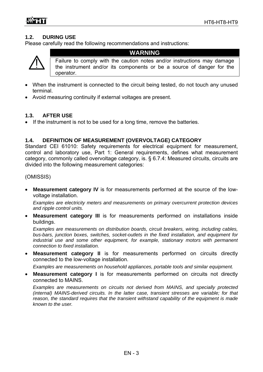#### **1.2. DURING USE**

Please carefully read the following recommendations and instructions:



**WARNING** 

Failure to comply with the caution notes and/or instructions may damage the instrument and/or its components or be a source of danger for the operator.

- When the instrument is connected to the circuit being tested, do not touch any unused terminal.
- Avoid measuring continuity if external voltages are present.

#### **1.3. AFTER USE**

• If the instrument is not to be used for a long time, remove the batteries.

#### **1.4. DEFINITION OF MEASUREMENT (OVERVOLTAGE) CATEGORY**

Standard CEI 61010: Safety requirements for electrical equipment for measurement, control and laboratory use, Part 1: General requirements, defines what measurement category, commonly called overvoltage category, is. § 6.7.4: Measured circuits, circuits are divided into the following measurement categories:

(OMISSIS)

 **Measurement category IV** is for measurements performed at the source of the lowvoltage installation.

*Examples are electricity meters and measurements on primary overcurrent protection devices and ripple control units.* 

 **Measurement category III** is for measurements performed on installations inside buildings.

*Examples are measurements on distribution boards, circuit breakers, wiring, including cables, bus-bars, junction boxes, switches, socket-outlets in the fixed installation, and equipment for industrial use and some other equipment, for example, stationary motors with permanent connection to fixed installation.* 

 **Measurement category II** is for measurements performed on circuits directly connected to the low-voltage installation.

*Examples are measurements on household appliances, portable tools and similar equipment.* 

 **Measurement category I** is for measurements performed on circuits not directly connected to MAINS.

*Examples are measurements on circuits not derived from MAINS, and specially protected (internal) MAINS-derived circuits. In the latter case, transient stresses are variable; for that reason, the standard requires that the transient withstand capability of the equipment is made known to the user.*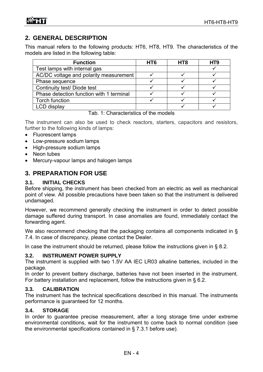## **2. GENERAL DESCRIPTION**

This manual refers to the following products: HT6, HT8, HT9. The characteristics of the models are listed in the following table:

| <b>Function</b>                          | HT <sub>6</sub> | HT <sub>8</sub> | HT9 |
|------------------------------------------|-----------------|-----------------|-----|
| Test lamps with internal gas             |                 |                 |     |
| AC/DC voltage and polarity measurement   |                 |                 |     |
| Phase sequence                           |                 |                 |     |
| Continuity test/Diode test               |                 |                 |     |
| Phase detection function with 1 terminal |                 |                 |     |
| Torch function                           |                 |                 |     |
| <b>LCD</b> display                       |                 |                 |     |

#### Tab. 1: Characteristics of the models

The instrument can also be used to check reactors, starters, capacitors and resistors, further to the following kinds of lamps:

- Fluorescent lamps
- Low-pressure sodium lamps
- High-pressure sodium lamps
- Neon tubes
- Mercury-vapour lamps and halogen lamps

## **3. PREPARATION FOR USE**

#### **3.1. INITIAL CHECKS**

Before shipping, the instrument has been checked from an electric as well as mechanical point of view. All possible precautions have been taken so that the instrument is delivered undamaged.

However, we recommend generally checking the instrument in order to detect possible damage suffered during transport. In case anomalies are found, immediately contact the forwarding agent.

We also recommend checking that the packaging contains all components indicated in § 7.4. In case of discrepancy, please contact the Dealer.

In case the instrument should be returned, please follow the instructions given in § 8.2.

#### **3.2. INSTRUMENT POWER SUPPLY**

The instrument is supplied with two 1.5V AA IEC LR03 alkaline batteries, included in the package.

In order to prevent battery discharge, batteries have not been inserted in the instrument. For battery installation and replacement, follow the instructions given in § 6.2.

#### **3.3. CALIBRATION**

The instrument has the technical specifications described in this manual. The instruments performance is guaranteed for 12 months.

#### **3.4. STORAGE**

In order to guarantee precise measurement, after a long storage time under extreme environmental conditions, wait for the instrument to come back to normal condition (see the environmental specifications contained in § 7.3.1 before use).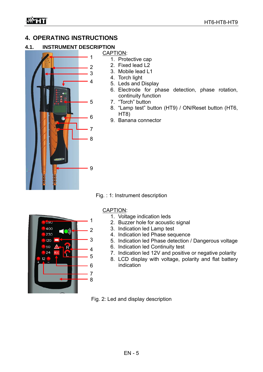## **4. OPERATING INSTRUCTIONS**

## **4.1. INSTRUMENT DESCRIPTION**



## CAPTION:

- 1. Protective cap 2. Fixed lead L2
- 3. Mobile lead L1
- 4. Torch light
- 5. Leds and Display
- 6. Electrode for phase detection, phase rotation, continuity function
- 7. "Torch" button
- 8. "Lamp test" button (HT9) / ON/Reset button (HT6, HT8)
- 9. Banana connector

Fig. : 1: Instrument description



## CAPTION:

- 1. Voltage indication leds
- 2. Buzzer hole for acoustic signal
- 3. Indication led Lamp test
- 4. Indication led Phase sequence
- 5. Indication led Phase detection / Dangerous voltage
- 6. Indication led Continuity test
	- 7. Indication led 12V and positive or negative polarity
- 8. LCD display with voltage, polarity and flat battery indication

Fig. 2: Led and display description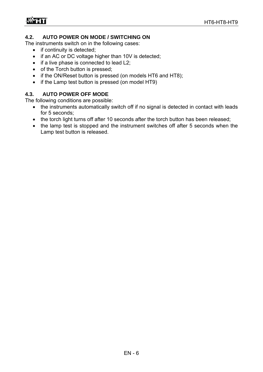#### **4.2. AUTO POWER ON MODE / SWITCHING ON**

The instruments switch on in the following cases:

- if continuity is detected;
- if an AC or DC voltage higher than 10V is detected;
- $\bullet$  if a live phase is connected to lead L2;
- of the Torch button is pressed;
- if the ON/Reset button is pressed (on models HT6 and HT8);
- if the Lamp test button is pressed (on model HT9)

#### **4.3. AUTO POWER OFF MODE**

The following conditions are possible:

- the instruments automatically switch off if no signal is detected in contact with leads for 5 seconds;
- the torch light turns off after 10 seconds after the torch button has been released;
- the lamp test is stopped and the instrument switches off after 5 seconds when the Lamp test button is released.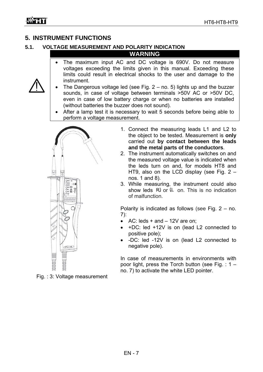## **5. INSTRUMENT FUNCTIONS**

## **5.1. VOLTAGE MEASUREMENT AND POLARITY INDICATION**

**WARNING** 

- The maximum input AC and DC voltage is 690V. Do not measure voltages exceeding the limits given in this manual. Exceeding these limits could result in electrical shocks to the user and damage to the instrument.
- The Dangerous voltage led (see Fig. 2 no. 5) lights up and the buzzer sounds, in case of voltage between terminals >50V AC or >50V DC, even in case of low battery charge or when no batteries are installed (without batteries the buzzer does not sound).
- After a lamp test it is necessary to wait 5 seconds before being able to perform a voltage measurement.



- 1. Connect the measuring leads L1 and L2 to the object to be tested. Measurement is **only** carried out **by contact between the leads and the metal parts of the conductors**.
- 2. The instrument automatically switches on and the measured voltage value is indicated when the leds turn on and, for models HT8 and HT9, also on the LCD display (see Fig. 2 – nos. 1 and 8).
- 3. While measuring, the instrument could also show leds  $\mathsf{R}$  or  $\mathsf{L}$  on. This is no indication of malfunction.

Polarity is indicated as follows (see Fig. 2 – no. 7):

- $\bullet$  AC: leds + and  $-$  12V are on;
- +DC: led +12V is on (lead L2 connected to positive pole);
- -DC: led -12V is on (lead L2 connected to negative pole).

In case of measurements in environments with poor light, press the Torch button (see Fig. : 1 – no. 7) to activate the white LED pointer.

Fig. : 3: Voltage measurement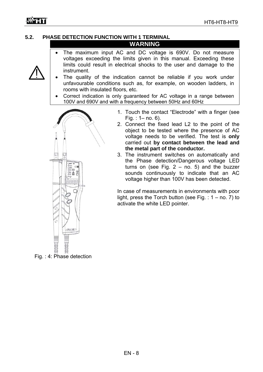## **5.2. PHASE DETECTION FUNCTION WITH 1 TERMINAL**

#### **WARNING**

- The maximum input AC and DC voltage is 690V. Do not measure voltages exceeding the limits given in this manual. Exceeding these limits could result in electrical shocks to the user and damage to the instrument.
- The quality of the indication cannot be reliable if you work under unfavourable conditions such as, for example, on wooden ladders, in rooms with insulated floors, etc.
- Correct indication is only guaranteed for AC voltage in a range between 100V and 690V and with a frequency between 50Hz and 60Hz



Fig. : 4: Phase detection

- 1. Touch the contact "Electrode" with a finger (see Fig. : 1– no. 6).
- 2. Connect the fixed lead L2 to the point of the object to be tested where the presence of AC voltage needs to be verified. The test is **only** carried out **by contact between the lead and the metal part of the conductor.**
- 3. The instrument switches on automatically and the Phase detection/Dangerous voltage LED turns on (see Fig.  $2 - no$ . 5) and the buzzer sounds continuously to indicate that an AC voltage higher than 100V has been detected.

In case of measurements in environments with poor light, press the Torch button (see Fig.  $: 1 -$  no. 7) to activate the white LED pointer.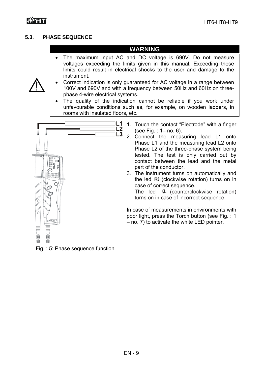#### **5.3. PHASE SEQUENCE**

## **WARNING**

 The maximum input AC and DC voltage is 690V. Do not measure voltages exceeding the limits given in this manual. Exceeding these limits could result in electrical shocks to the user and damage to the instrument.



- Correct indication is only guaranteed for AC voltage in a range between 100V and 690V and with a frequency between 50Hz and 60Hz on threephase 4-wire electrical systems.
- The quality of the indication cannot be reliable if you work under unfavourable conditions such as, for example, on wooden ladders, in rooms with insulated floors, etc.



- 1. Touch the contact "Electrode" with a finger (see Fig. : 1– no. 6).
- 2. Connect the measuring lead L1 onto Phase L1 and the measuring lead L2 onto Phase L2 of the three-phase system being tested. The test is only carried out by contact between the lead and the metal part of the conductor.
- 3. The instrument turns on automatically and the led  $R$ ) (clockwise rotation) turns on in case of correct sequence.

The led (L (counterclockwise rotation) turns on in case of incorrect sequence.

In case of measurements in environments with poor light, press the Torch button (see Fig. : 1 – no. 7) to activate the white LED pointer.

Fig. : 5: Phase sequence function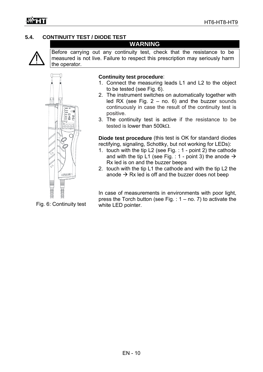## **5.4. CONTINUITY TEST / DIODE TEST**



Before carrying out any continuity test, check that the resistance to be measured is not live. Failure to respect this prescription may seriously harm the operator.

**WARNING** 



#### **Continuity test procedure**:

- 1. Connect the measuring leads L1 and L2 to the object to be tested (see Fig. 6).
- 2. The instrument switches on automatically together with led RX (see Fig.  $2 - no$ . 6) and the buzzer sounds continuously in case the result of the continuity test is positive.
- 3. The continuity test is active if the resistance to be tested is lower than  $500k\Omega$ .

**Diode test procedure** (this test is OK for standard diodes rectifying, signaling, Schottky, but not working for LEDs):

- 1. touch with the tip L2 (see Fig. : 1 point 2) the cathode and with the tip L1 (see Fig. : 1 - point 3) the anode  $\rightarrow$ Rx led is on and the buzzer beeps
- 2. touch with the tip L1 the cathode and with the tip L2 the anode  $\rightarrow$  Rx led is off and the buzzer does not beep

In case of measurements in environments with poor light, press the Torch button (see Fig.  $: 1 - no$ . 7) to activate the white LED pointer.

Fig. 6: Continuity test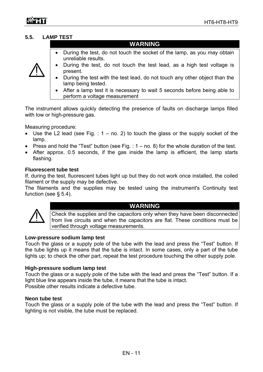#### **5.5. LAMP TEST**

| <b>WARNING</b> |
|----------------|
|                |
|                |

 During the test, do not touch the socket of the lamp, as you may obtain unreliable results.



- During the test, do not touch the test lead, as a high test voltage is present.
- During the test with the test lead, do not touch any other object than the lamp being tested.
- After a lamp test it is necessary to wait 5 seconds before being able to perform a voltage measurement

The instrument allows quickly detecting the presence of faults on discharge lamps filled with low or high-pressure gas.

Measuring procedure:

- Use the L2 lead (see Fig.  $: 1 no$ . 2) to touch the glass or the supply socket of the lamp.
- Press and hold the "Test" button (see Fig. :  $1 no$ . 8) for the whole duration of the test.
- After approx. 0.5 seconds, if the gas inside the lamp is efficient, the lamp starts flashing.

#### **Fluorescent tube test**

If, during the test, fluorescent tubes light up but they do not work once installed, the coiled filament or the supply may be defective.

The filaments and the supplies may be tested using the instrument's Continuity test function (see § 5.4).



#### **WARNING**

Check the supplies and the capacitors only when they have been disconnected from live circuits and when the capacitors are flat. These conditions must be verified through voltage measurements.

#### **Low-pressure sodium lamp test**

Touch the glass or a supply pole of the tube with the lead and press the "Test" button. If the tube lights up it means that the tube is intact. In some cases, only a part of the tube lights up; to check the other part, repeat the test procedure touching the other supply pole.

#### **High-pressure sodium lamp test**

Touch the glass or a supply pole of the tube with the lead and press the "Test" button. If a light blue line appears inside the tube, it means that the tube is intact. Possible other results indicate a defective tube.

#### **Neon tube test**

Touch the glass or a supply pole of the tube with the lead and press the "Test" button. If lighting is not visible, the tube must be replaced.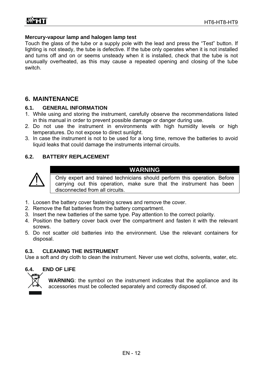#### **Mercury-vapour lamp and halogen lamp test**

Touch the glass of the tube or a supply pole with the lead and press the "Test" button. If lighting is not steady, the tube is defective. If the tube only operates when it is not installed and turns off and on or seems unsteady when it is installed, check that the tube is not unusually overheated, as this may cause a repeated opening and closing of the tube switch.

## **6. MAINTENANCE**

#### **6.1. GENERAL INFORMATION**

- 1. While using and storing the instrument, carefully observe the recommendations listed in this manual in order to prevent possible damage or danger during use.
- 2. Do not use the instrument in environments with high humidity levels or high temperatures. Do not expose to direct sunlight.
- 3. In case the instrument is not to be used for a long time, remove the batteries to avoid liquid leaks that could damage the instruments internal circuits.

#### **6.2. BATTERY REPLACEMENT**



**WARNING** 

Only expert and trained technicians should perform this operation. Before carrying out this operation, make sure that the instrument has been disconnected from all circuits.

- 1. Loosen the battery cover fastening screws and remove the cover.
- 2. Remove the flat batteries from the battery compartment.
- 3. Insert the new batteries of the same type. Pay attention to the correct polarity.
- 4. Position the battery cover back over the compartment and fasten it with the relevant screws.
- 5. Do not scatter old batteries into the environment. Use the relevant containers for disposal.

#### **6.3. CLEANING THE INSTRUMENT**

Use a soft and dry cloth to clean the instrument. Never use wet cloths, solvents, water, etc.

#### **6.4. END OF LIFE**



**WARNING**: the symbol on the instrument indicates that the appliance and its accessories must be collected separately and correctly disposed of.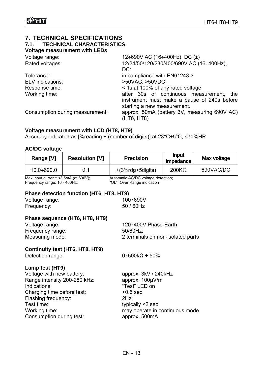## **7. TECHNICAL SPECIFICATIONS 7.1. TECHNICAL CHARACTERISTICS**

**Voltage measurement with LEDs** 

| Voltage range:                  | 12:690V AC (16:400Hz), DC ( $\pm$ )          |
|---------------------------------|----------------------------------------------|
| Rated voltages:                 | 12/24/50/120/230/400/690V AC (16:400Hz),     |
|                                 | DC:                                          |
| Tolerance:                      | in compliance with EN61243-3                 |
| <b>ELV</b> indications:         | >50VAC, >50VDC                               |
| Response time:                  | < 1s at 100% of any rated voltage            |
| Working time:                   | after 30s of continuous measurement, the     |
|                                 | instrument must make a pause of 240s before  |
|                                 | starting a new measurement.                  |
| Consumption during measurement: | approx. 50mA (battery 3V, measuring 690V AC) |
|                                 | (HT6, HT8)                                   |

#### **Voltage measurement with LCD (HT8, HT9)**

Accuracy indicated as [%reading + (number of digits)] at 23°C±5°C, <70%HR

## **AC/DC voltage**

|                                                                                                                                                                                                              | Range [V]      | <b>Resolution [V]</b>                    | <b>Precision</b>                                                                                                                                      | <b>Input</b><br>impedance | <b>Max voltage</b> |  |
|--------------------------------------------------------------------------------------------------------------------------------------------------------------------------------------------------------------|----------------|------------------------------------------|-------------------------------------------------------------------------------------------------------------------------------------------------------|---------------------------|--------------------|--|
|                                                                                                                                                                                                              | $10.0 + 690.0$ | 0.1                                      | $\pm$ (3%rdg+5digits)                                                                                                                                 | $200K\Omega$              | 690VAC/DC          |  |
| Max input current: <3.5mA (at 690V);<br>Frequency range: 16 - 400Hz;                                                                                                                                         |                |                                          | Automatic AC/DC voltage detection;<br>"OL": Over Range indication                                                                                     |                           |                    |  |
|                                                                                                                                                                                                              |                | Phase detection function (HT6, HT8, HT9) |                                                                                                                                                       |                           |                    |  |
| Voltage range:<br>Frequency:                                                                                                                                                                                 |                |                                          | $100 \div 690 V$<br>50 / 60Hz                                                                                                                         |                           |                    |  |
| Phase sequence (HT6, HT8, HT9)<br>Voltage range:<br>Frequency range:<br>Measuring mode:                                                                                                                      |                |                                          | 120÷400V Phase-Earth;<br>50/60Hz;<br>2 terminals on non-isolated parts                                                                                |                           |                    |  |
| <b>Continuity test (HT6, HT8, HT9)</b><br>Detection range:                                                                                                                                                   |                |                                          | $0.500k\Omega + 50\%$                                                                                                                                 |                           |                    |  |
| Lamp test (HT9)<br>Voltage with new battery:<br>Range intensity 200-280 kHz:<br>Indications:<br>Charging time before test:<br>Flashing frequency:<br>Test time:<br>Working time:<br>Consumption during test: |                |                                          | approx. 3kV / 240kHz<br>approx. 100µV/m<br>"Test" LED on<br>$< 0.5$ sec<br>2Hz<br>typically <2 sec<br>may operate in continuous mode<br>approx. 500mA |                           |                    |  |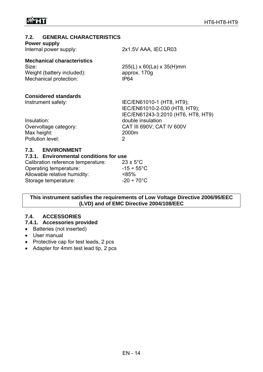#### **7.2. GENERAL CHARACTERISTICS**

**Power supply** 

Internal power supply: 2x1.5V AAA, IEC LR03

## **Mechanical characteristics**  Size: 255(L) x 60(La) x 35(H)mm

Weight (battery included): approx. 170g Mechanical protection: IP64

#### **Considered standards**

| Instrument safety:    | IEC/EN61010-1 (HT8, HT9);          |  |  |
|-----------------------|------------------------------------|--|--|
|                       | IEC/EN61010-2-030 (HT8, HT9);      |  |  |
|                       | IEC/EN61243-3:2010 (HT6, HT8, HT9) |  |  |
| Insulation:           | double insulation                  |  |  |
| Overvoltage category: | CAT III 690V; CAT IV 600V          |  |  |
| Max height:           | 2000m                              |  |  |
| Pollution level:      |                                    |  |  |
|                       |                                    |  |  |

#### **7.3. ENVIRONMENT**

#### **7.3.1. Environmental conditions for use**

| Calibration reference temperature: | $23 \pm 5^{\circ}$ C    |
|------------------------------------|-------------------------|
| Operating temperature:             | $-15 \div 55^{\circ}$ C |
| Allowable relative humidity:       | $< 85\%$                |
| Storage temperature:               | $-20 \div 70^{\circ}$ C |

**This instrument satisfies the requirements of Low Voltage Directive 2006/95/EEC (LVD) and of EMC Directive 2004/108/EEC** 

## **7.4. ACCESSORIES**

#### **7.4.1. Accessories provided**

- Batteries (not inserted)
- User manual
- Protective cap for test leads, 2 pcs
- Adapter for 4mm test lead tip, 2 pcs